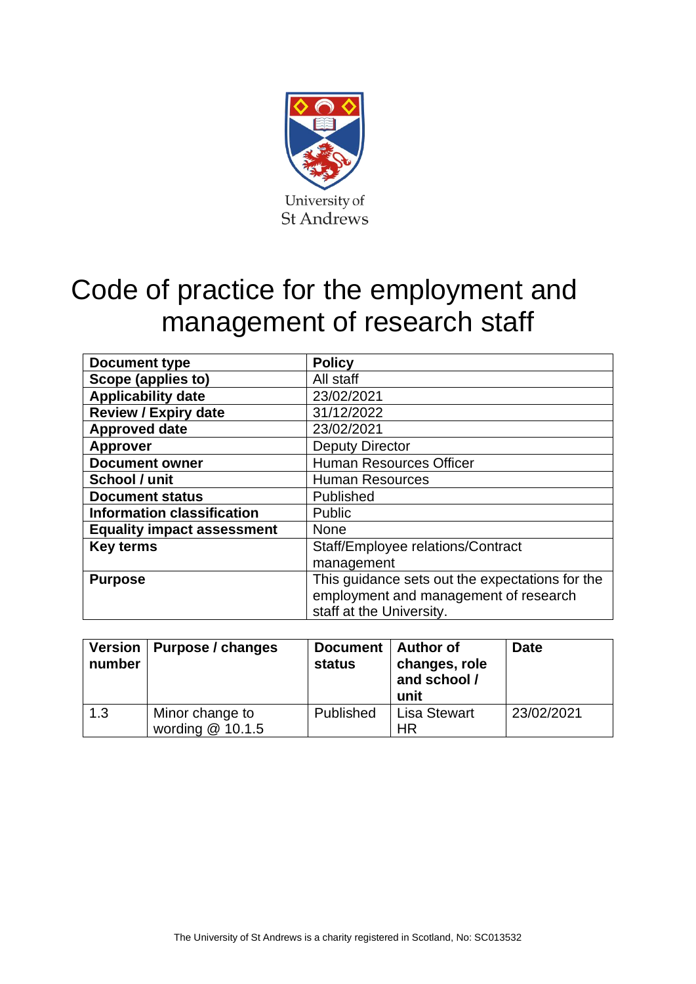

# Code of practice for the employment and management of research staff

| Document type                     | <b>Policy</b>                                   |
|-----------------------------------|-------------------------------------------------|
| Scope (applies to)                | All staff                                       |
| <b>Applicability date</b>         | 23/02/2021                                      |
| <b>Review / Expiry date</b>       | 31/12/2022                                      |
| <b>Approved date</b>              | 23/02/2021                                      |
| <b>Approver</b>                   | <b>Deputy Director</b>                          |
| <b>Document owner</b>             | <b>Human Resources Officer</b>                  |
| School / unit                     | <b>Human Resources</b>                          |
| <b>Document status</b>            | Published                                       |
| <b>Information classification</b> | <b>Public</b>                                   |
| <b>Equality impact assessment</b> | <b>None</b>                                     |
| <b>Key terms</b>                  | Staff/Employee relations/Contract               |
|                                   | management                                      |
| <b>Purpose</b>                    | This guidance sets out the expectations for the |
|                                   | employment and management of research           |
|                                   | staff at the University.                        |

| number | Version   Purpose / changes         | Document  <br><b>status</b> | Author of<br>changes, role<br>and school /<br>unit | <b>Date</b> |
|--------|-------------------------------------|-----------------------------|----------------------------------------------------|-------------|
| 1.3    | Minor change to<br>wording @ 10.1.5 | Published                   | <b>Lisa Stewart</b><br>ΗR                          | 23/02/2021  |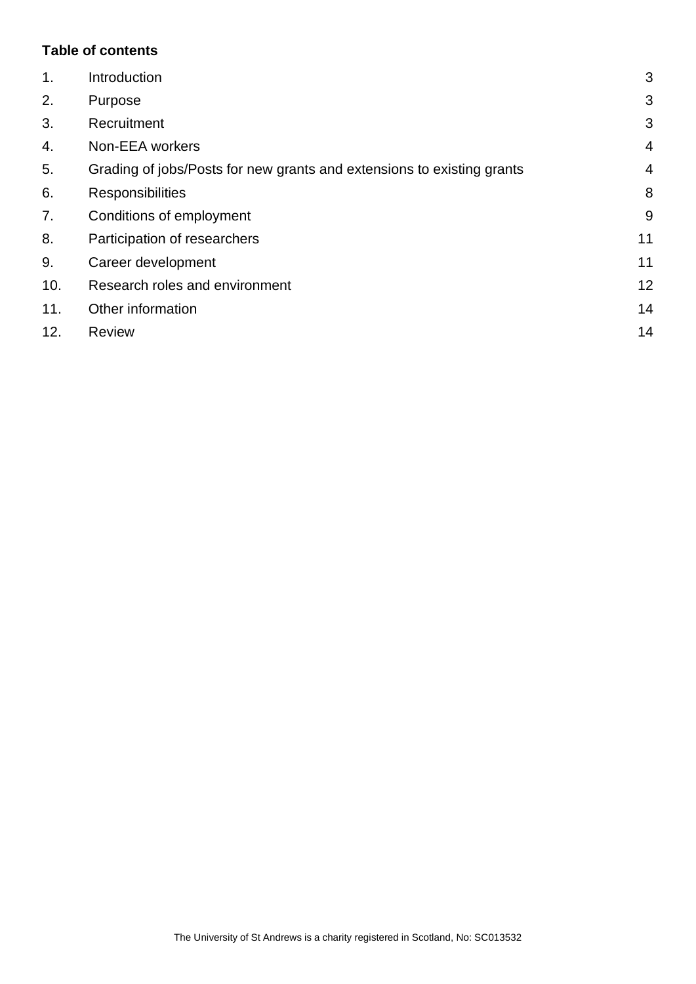## **Table of contents**

| $\mathbf 1$ . | Introduction                                                           | 3              |
|---------------|------------------------------------------------------------------------|----------------|
| 2.            | Purpose                                                                | 3              |
| 3.            | Recruitment                                                            | 3              |
| 4.            | Non-EEA workers                                                        | $\overline{4}$ |
| 5.            | Grading of jobs/Posts for new grants and extensions to existing grants | $\overline{4}$ |
| 6.            | <b>Responsibilities</b>                                                | 8              |
| 7.            | Conditions of employment                                               | 9              |
| 8.            | Participation of researchers                                           | 11             |
| 9.            | Career development                                                     | 11             |
| 10.           | Research roles and environment                                         | 12             |
| 11.           | Other information                                                      | 14             |
| 12.           | <b>Review</b>                                                          | 14             |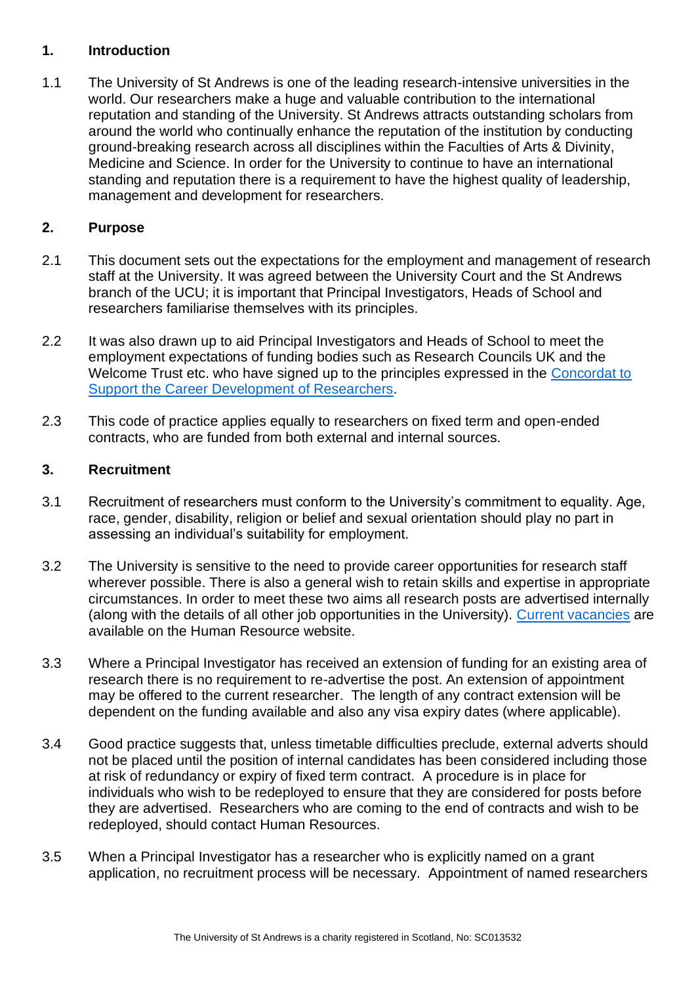## <span id="page-2-0"></span>**1. Introduction**

1.1 The University of St Andrews is one of the leading research-intensive universities in the world. Our researchers make a huge and valuable contribution to the international reputation and standing of the University. St Andrews attracts outstanding scholars from around the world who continually enhance the reputation of the institution by conducting ground-breaking research across all disciplines within the Faculties of Arts & Divinity, Medicine and Science. In order for the University to continue to have an international standing and reputation there is a requirement to have the highest quality of leadership, management and development for researchers.

# <span id="page-2-1"></span>**2. Purpose**

- 2.1 This document sets out the expectations for the employment and management of research staff at the University. It was agreed between the University Court and the St Andrews branch of the UCU; it is important that Principal Investigators, Heads of School and researchers familiarise themselves with its principles.
- 2.2 It was also drawn up to aid Principal Investigators and Heads of School to meet the employment expectations of funding bodies such as Research Councils UK and the Welcome Trust etc. who have signed up to the principles expressed in the [Concordat to](https://www.vitae.ac.uk/policy/concordat-to-support-the-career-development-of-researchers)  [Support the Career Development of Researchers.](https://www.vitae.ac.uk/policy/concordat-to-support-the-career-development-of-researchers)
- 2.3 This code of practice applies equally to researchers on fixed term and open-ended contracts, who are funded from both external and internal sources.

# <span id="page-2-2"></span>**3. Recruitment**

- 3.1 Recruitment of researchers must conform to the University's commitment to equality. Age, race, gender, disability, religion or belief and sexual orientation should play no part in assessing an individual's suitability for employment.
- 3.2 The University is sensitive to the need to provide career opportunities for research staff wherever possible. There is also a general wish to retain skills and expertise in appropriate circumstances. In order to meet these two aims all research posts are advertised internally (along with the details of all other job opportunities in the University). [Current vacancies](https://www.vacancies.st-andrews.ac.uk/welcome.aspx) are available on the Human Resource website.
- 3.3 Where a Principal Investigator has received an extension of funding for an existing area of research there is no requirement to re-advertise the post. An extension of appointment may be offered to the current researcher. The length of any contract extension will be dependent on the funding available and also any visa expiry dates (where applicable).
- 3.4 Good practice suggests that, unless timetable difficulties preclude, external adverts should not be placed until the position of internal candidates has been considered including those at risk of redundancy or expiry of fixed term contract. A procedure is in place for individuals who wish to be redeployed to ensure that they are considered for posts before they are advertised. Researchers who are coming to the end of contracts and wish to be redeployed, should contact Human Resources.
- 3.5 When a Principal Investigator has a researcher who is explicitly named on a grant application, no recruitment process will be necessary. Appointment of named researchers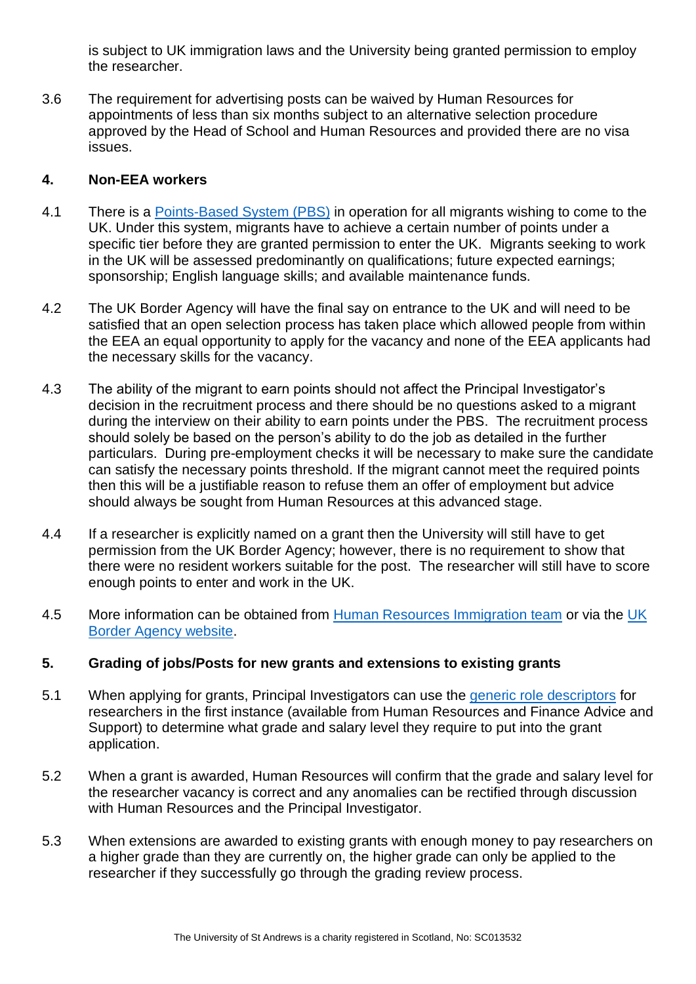is subject to UK immigration laws and the University being granted permission to employ the researcher.

3.6 The requirement for advertising posts can be waived by Human Resources for appointments of less than six months subject to an alternative selection procedure approved by the Head of School and Human Resources and provided there are no visa issues.

# <span id="page-3-0"></span>**4. Non-EEA workers**

- 4.1 There is a [Points-Based System \(PBS\)](https://www.st-andrews.ac.uk/staff/policy/immigration/) in operation for all migrants wishing to come to the UK. Under this system, migrants have to achieve a certain number of points under a specific tier before they are granted permission to enter the UK. Migrants seeking to work in the UK will be assessed predominantly on qualifications; future expected earnings; sponsorship; English language skills; and available maintenance funds.
- 4.2 The UK Border Agency will have the final say on entrance to the UK and will need to be satisfied that an open selection process has taken place which allowed people from within the EEA an equal opportunity to apply for the vacancy and none of the EEA applicants had the necessary skills for the vacancy.
- 4.3 The ability of the migrant to earn points should not affect the Principal Investigator's decision in the recruitment process and there should be no questions asked to a migrant during the interview on their ability to earn points under the PBS. The recruitment process should solely be based on the person's ability to do the job as detailed in the further particulars. During pre-employment checks it will be necessary to make sure the candidate can satisfy the necessary points threshold. If the migrant cannot meet the required points then this will be a justifiable reason to refuse them an offer of employment but advice should always be sought from Human Resources at this advanced stage.
- 4.4 If a researcher is explicitly named on a grant then the University will still have to get permission from the UK Border Agency; however, there is no requirement to show that there were no resident workers suitable for the post. The researcher will still have to score enough points to enter and work in the UK.
- 4.5 More information can be obtained from [Human Resources Immigration team](mailto:hrimmigration@st-andrews.ac.uk) or via the UK [Border Agency website.](https://www.gov.uk/browse/visas-immigration/work-visas)

## <span id="page-3-1"></span>**5. Grading of jobs/Posts for new grants and extensions to existing grants**

- 5.1 When applying for grants, Principal Investigators can use the [generic role descriptors](https://www.st-andrews.ac.uk/hr/gradingrewardandconditions/jobfamiliesgenericroledescriptors/) for researchers in the first instance (available from Human Resources and Finance Advice and Support) to determine what grade and salary level they require to put into the grant application.
- 5.2 When a grant is awarded, Human Resources will confirm that the grade and salary level for the researcher vacancy is correct and any anomalies can be rectified through discussion with Human Resources and the Principal Investigator.
- 5.3 When extensions are awarded to existing grants with enough money to pay researchers on a higher grade than they are currently on, the higher grade can only be applied to the researcher if they successfully go through the grading review process.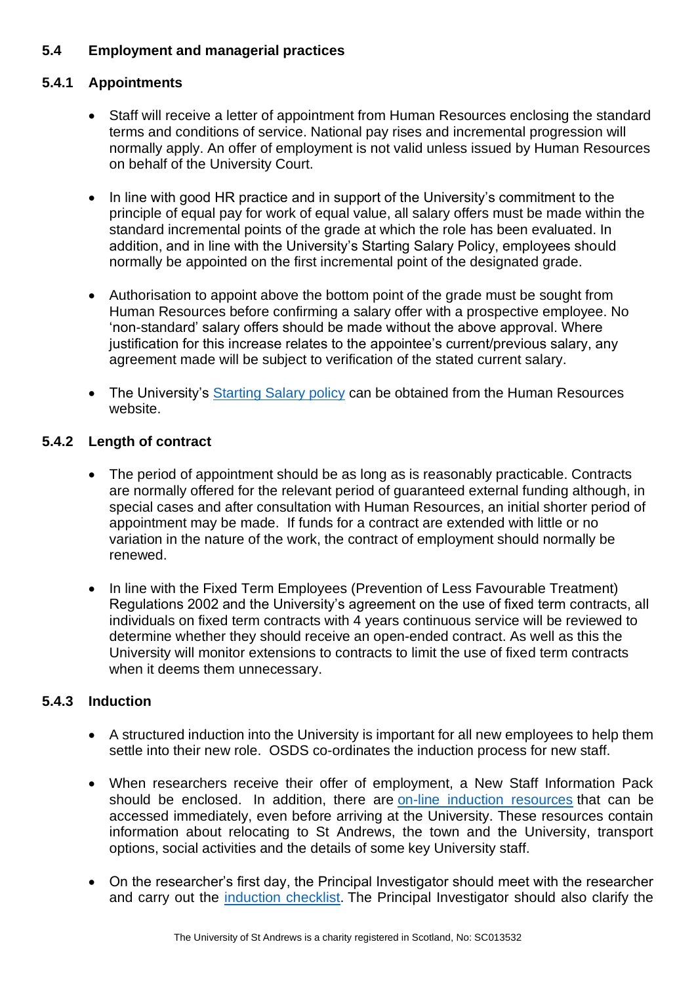# **5.4 Employment and managerial practices**

# **5.4.1 Appointments**

- Staff will receive a letter of appointment from Human Resources enclosing the standard terms and conditions of service. National pay rises and incremental progression will normally apply. An offer of employment is not valid unless issued by Human Resources on behalf of the University Court.
- In line with good HR practice and in support of the University's commitment to the principle of equal pay for work of equal value, all salary offers must be made within the standard incremental points of the grade at which the role has been evaluated. In addition, and in line with the University's Starting Salary Policy, employees should normally be appointed on the first incremental point of the designated grade.
- Authorisation to appoint above the bottom point of the grade must be sought from Human Resources before confirming a salary offer with a prospective employee. No 'non-standard' salary offers should be made without the above approval. Where justification for this increase relates to the appointee's current/previous salary, any agreement made will be subject to verification of the stated current salary.
- The University's [Starting Salary policy](https://www.st-andrews.ac.uk/staff/policy/hr/startingsalarypolicy/) can be obtained from the Human Resources website.

## **5.4.2 Length of contract**

- The period of appointment should be as long as is reasonably practicable. Contracts are normally offered for the relevant period of guaranteed external funding although, in special cases and after consultation with Human Resources, an initial shorter period of appointment may be made. If funds for a contract are extended with little or no variation in the nature of the work, the contract of employment should normally be renewed.
- In line with the Fixed Term Employees (Prevention of Less Favourable Treatment) Regulations 2002 and the University's agreement on the use of fixed term contracts, all individuals on fixed term contracts with 4 years continuous service will be reviewed to determine whether they should receive an open-ended contract. As well as this the University will monitor extensions to contracts to limit the use of fixed term contracts when it deems them unnecessary.

## **5.4.3 Induction**

- A structured induction into the University is important for all new employees to help them settle into their new role. OSDS co-ordinates the induction process for new staff.
- When researchers receive their offer of employment, a New Staff Information Pack should be enclosed. In addition, there are [on-line induction resources](https://www.st-andrews.ac.uk/osds/essentials/induction-events/) that can be accessed immediately, even before arriving at the University. These resources contain information about relocating to St Andrews, the town and the University, transport options, social activities and the details of some key University staff.
- On the researcher's first day, the Principal Investigator should meet with the researcher and carry out the [induction checklist.](http://www.st-andrews.ac.uk/staff/ppd/universitynewstaffinduction) The Principal Investigator should also clarify the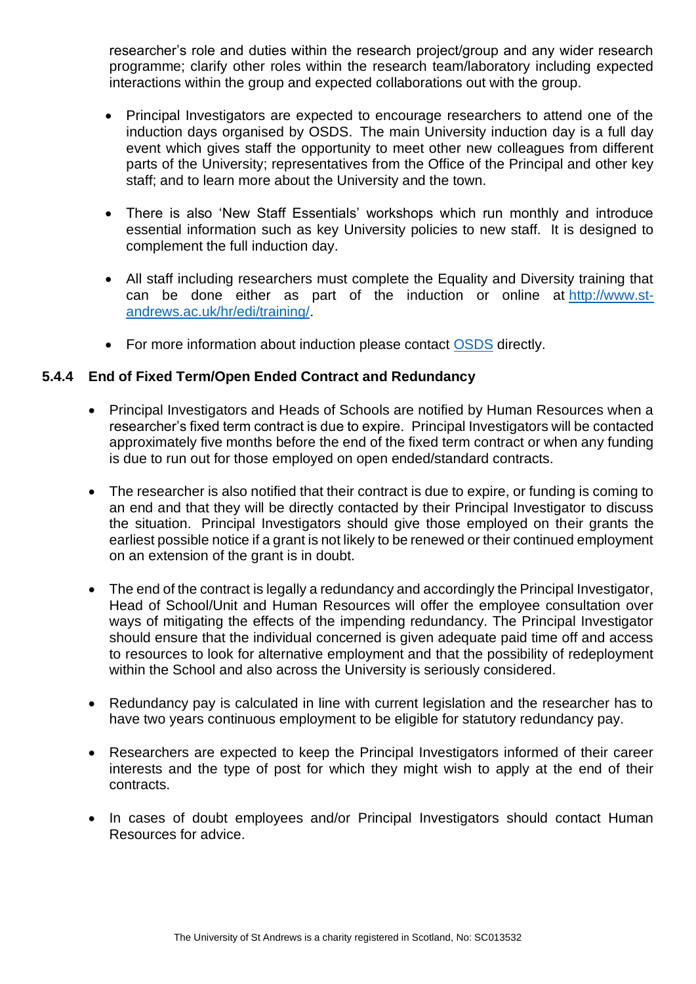researcher's role and duties within the research project/group and any wider research programme; clarify other roles within the research team/laboratory including expected interactions within the group and expected collaborations out with the group.

- Principal Investigators are expected to encourage researchers to attend one of the induction days organised by OSDS. The main University induction day is a full day event which gives staff the opportunity to meet other new colleagues from different parts of the University; representatives from the Office of the Principal and other key staff; and to learn more about the University and the town.
- There is also 'New Staff Essentials' workshops which run monthly and introduce essential information such as key University policies to new staff. It is designed to complement the full induction day.
- All staff including researchers must complete the Equality and Diversity training that can be done either as part of the induction or online at [http://www.st](http://www.st-andrews.ac.uk/hr/edi/training/)[andrews.ac.uk/hr/edi/training/.](http://www.st-andrews.ac.uk/hr/edi/training/)
- For more information about induction please contact [OSDS](https://www.st-andrews.ac.uk/osds/) directly.

## **5.4.4 End of Fixed Term/Open Ended Contract and Redundancy**

- Principal Investigators and Heads of Schools are notified by Human Resources when a researcher's fixed term contract is due to expire. Principal Investigators will be contacted approximately five months before the end of the fixed term contract or when any funding is due to run out for those employed on open ended/standard contracts.
- The researcher is also notified that their contract is due to expire, or funding is coming to an end and that they will be directly contacted by their Principal Investigator to discuss the situation. Principal Investigators should give those employed on their grants the earliest possible notice if a grant is not likely to be renewed or their continued employment on an extension of the grant is in doubt.
- The end of the contract is legally a redundancy and accordingly the Principal Investigator, Head of School/Unit and Human Resources will offer the employee consultation over ways of mitigating the effects of the impending redundancy. The Principal Investigator should ensure that the individual concerned is given adequate paid time off and access to resources to look for alternative employment and that the possibility of redeployment within the School and also across the University is seriously considered.
- Redundancy pay is calculated in line with current legislation and the researcher has to have two years continuous employment to be eligible for statutory redundancy pay.
- Researchers are expected to keep the Principal Investigators informed of their career interests and the type of post for which they might wish to apply at the end of their contracts.
- In cases of doubt employees and/or Principal Investigators should contact Human Resources for advice.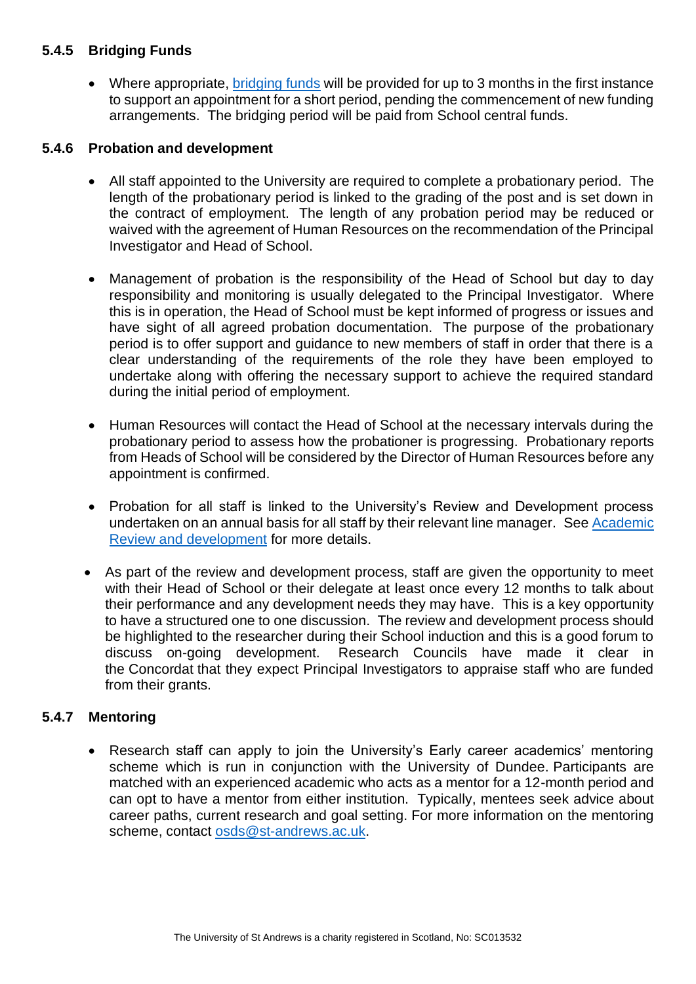# **5.4.5 Bridging Funds**

• Where appropriate, [bridging funds](https://www.st-andrews.ac.uk/policy/staff-pay-and-benefits-pay-rates-arrangements/bridging-fund.pdf) will be provided for up to 3 months in the first instance to support an appointment for a short period, pending the commencement of new funding arrangements. The bridging period will be paid from School central funds.

## **5.4.6 Probation and development**

- All staff appointed to the University are required to complete a probationary period. The length of the probationary period is linked to the grading of the post and is set down in the contract of employment. The length of any probation period may be reduced or waived with the agreement of Human Resources on the recommendation of the Principal Investigator and Head of School.
- Management of probation is the responsibility of the Head of School but day to day responsibility and monitoring is usually delegated to the Principal Investigator. Where this is in operation, the Head of School must be kept informed of progress or issues and have sight of all agreed probation documentation. The purpose of the probationary period is to offer support and guidance to new members of staff in order that there is a clear understanding of the requirements of the role they have been employed to undertake along with offering the necessary support to achieve the required standard during the initial period of employment.
- Human Resources will contact the Head of School at the necessary intervals during the probationary period to assess how the probationer is progressing. Probationary reports from Heads of School will be considered by the Director of Human Resources before any appointment is confirmed.
- Probation for all staff is linked to the University's Review and Development process undertaken on an annual basis for all staff by their relevant line manager. See [Academic](http://www.st-andrews.ac.uk/staff/policy/hr/academicreviewfornewstartsallacademicstaff/)  [Review and development](http://www.st-andrews.ac.uk/staff/policy/hr/academicreviewfornewstartsallacademicstaff/) for more details.
- As part of the review and development process, staff are given the opportunity to meet with their Head of School or their delegate at least once every 12 months to talk about their performance and any development needs they may have. This is a key opportunity to have a structured one to one discussion. The review and development process should be highlighted to the researcher during their School induction and this is a good forum to discuss on-going development. Research Councils have made it clear in the Concordat that they expect Principal Investigators to appraise staff who are funded from their grants.

# **5.4.7 Mentoring**

• Research staff can apply to join the University's Early career academics' mentoring scheme which is run in conjunction with the University of Dundee. Participants are matched with an experienced academic who acts as a mentor for a 12-month period and can opt to have a mentor from either institution. Typically, mentees seek advice about career paths, current research and goal setting. For more information on the mentoring scheme, contact osds@st-andrews.ac.uk.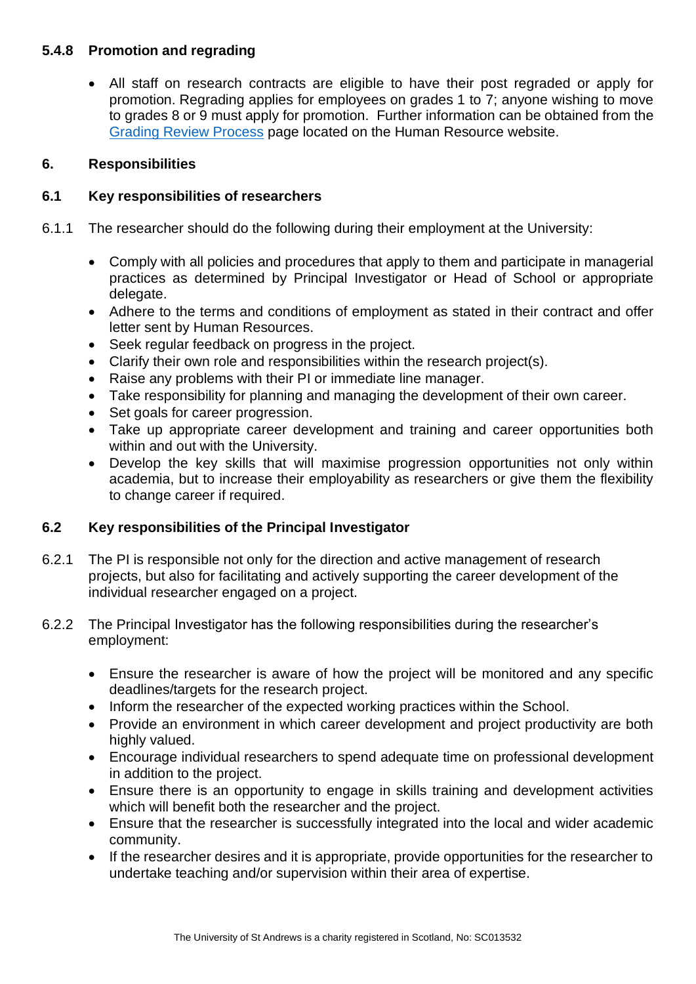# **5.4.8 Promotion and regrading**

• All staff on research contracts are eligible to have their post regraded or apply for promotion. Regrading applies for employees on grades 1 to 7; anyone wishing to move to grades 8 or 9 must apply for promotion. Further information can be obtained from the [Grading Review Process](https://www.st-andrews.ac.uk/hr/gradingrewardandconditions/gradingreviewprocess/) page located on the Human Resource website.

## <span id="page-7-0"></span>**6. Responsibilities**

## **6.1 Key responsibilities of researchers**

- 6.1.1 The researcher should do the following during their employment at the University:
	- Comply with all policies and procedures that apply to them and participate in managerial practices as determined by Principal Investigator or Head of School or appropriate delegate.
	- Adhere to the terms and conditions of employment as stated in their contract and offer letter sent by Human Resources.
	- Seek regular feedback on progress in the project.
	- Clarify their own role and responsibilities within the research project(s).
	- Raise any problems with their PI or immediate line manager.
	- Take responsibility for planning and managing the development of their own career.
	- Set goals for career progression.
	- Take up appropriate career development and training and career opportunities both within and out with the University.
	- Develop the key skills that will maximise progression opportunities not only within academia, but to increase their employability as researchers or give them the flexibility to change career if required.

# **6.2 Key responsibilities of the Principal Investigator**

- 6.2.1 The PI is responsible not only for the direction and active management of research projects, but also for facilitating and actively supporting the career development of the individual researcher engaged on a project.
- 6.2.2 The Principal Investigator has the following responsibilities during the researcher's employment:
	- Ensure the researcher is aware of how the project will be monitored and any specific deadlines/targets for the research project.
	- Inform the researcher of the expected working practices within the School.
	- Provide an environment in which career development and project productivity are both highly valued.
	- Encourage individual researchers to spend adequate time on professional development in addition to the project.
	- Ensure there is an opportunity to engage in skills training and development activities which will benefit both the researcher and the project.
	- Ensure that the researcher is successfully integrated into the local and wider academic community.
	- If the researcher desires and it is appropriate, provide opportunities for the researcher to undertake teaching and/or supervision within their area of expertise.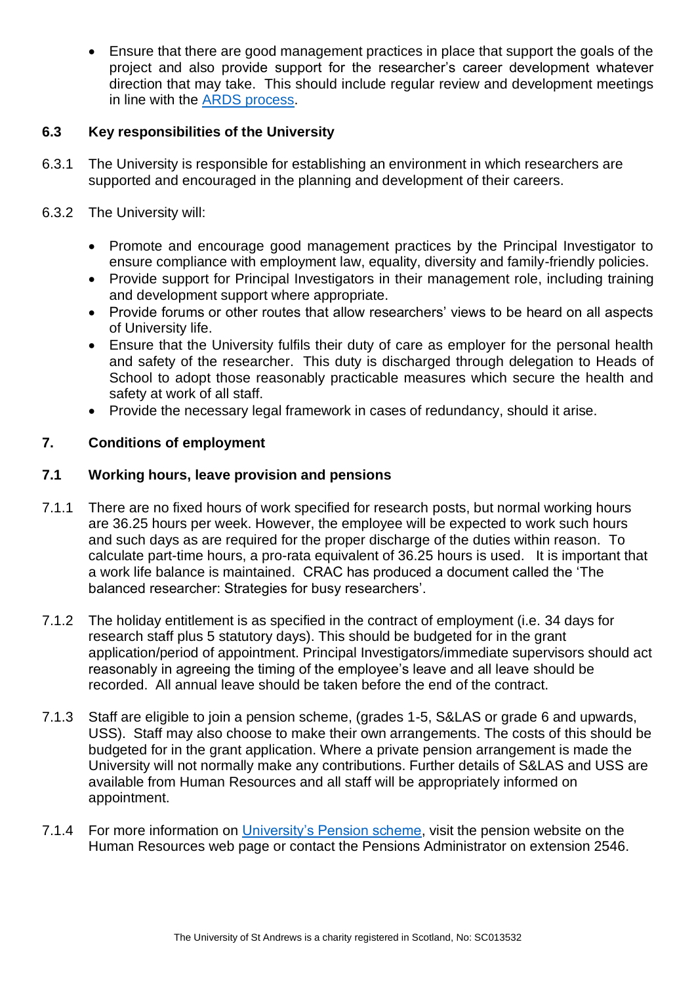• Ensure that there are good management practices in place that support the goals of the project and also provide support for the researcher's career development whatever direction that may take. This should include regular review and development meetings in line with the [ARDS process.](https://www.st-andrews.ac.uk/staff/policy/hr/academicreviewfornewstartsallacademicstaff/)

# **6.3 Key responsibilities of the University**

- 6.3.1 The University is responsible for establishing an environment in which researchers are supported and encouraged in the planning and development of their careers.
- 6.3.2 The University will:
	- Promote and encourage good management practices by the Principal Investigator to ensure compliance with employment law, equality, diversity and family-friendly policies.
	- Provide support for Principal Investigators in their management role, including training and development support where appropriate.
	- Provide forums or other routes that allow researchers' views to be heard on all aspects of University life.
	- Ensure that the University fulfils their duty of care as employer for the personal health and safety of the researcher. This duty is discharged through delegation to Heads of School to adopt those reasonably practicable measures which secure the health and safety at work of all staff.
	- Provide the necessary legal framework in cases of redundancy, should it arise.

## <span id="page-8-0"></span>**7. Conditions of employment**

## **7.1 Working hours, leave provision and pensions**

- 7.1.1 There are no fixed hours of work specified for research posts, but normal working hours are 36.25 hours per week. However, the employee will be expected to work such hours and such days as are required for the proper discharge of the duties within reason. To calculate part-time hours, a pro-rata equivalent of 36.25 hours is used. It is important that a work life balance is maintained. CRAC has produced a document called the 'The balanced researcher: Strategies for busy researchers'.
- 7.1.2 The holiday entitlement is as specified in the contract of employment (i.e. 34 days for research staff plus 5 statutory days). This should be budgeted for in the grant application/period of appointment. Principal Investigators/immediate supervisors should act reasonably in agreeing the timing of the employee's leave and all leave should be recorded. All annual leave should be taken before the end of the contract.
- 7.1.3 Staff are eligible to join a pension scheme, (grades 1-5, S&LAS or grade 6 and upwards, USS). Staff may also choose to make their own arrangements. The costs of this should be budgeted for in the grant application. Where a private pension arrangement is made the University will not normally make any contributions. Further details of S&LAS and USS are available from Human Resources and all staff will be appropriately informed on appointment.
- 7.1.4 For more information on [University's Pension scheme,](https://www.st-andrews.ac.uk/staff/money/pensions/) visit the pension website on the Human Resources web page or contact the Pensions Administrator on extension 2546.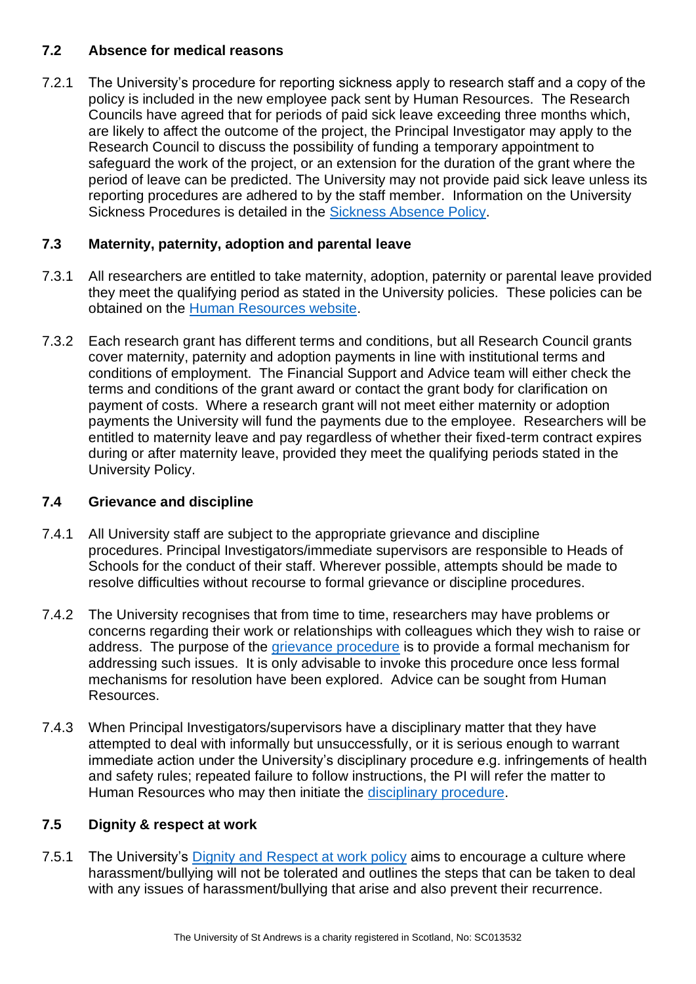# **7.2 Absence for medical reasons**

7.2.1 The University's procedure for reporting sickness apply to research staff and a copy of the policy is included in the new employee pack sent by Human Resources. The Research Councils have agreed that for periods of paid sick leave exceeding three months which, are likely to affect the outcome of the project, the Principal Investigator may apply to the Research Council to discuss the possibility of funding a temporary appointment to safeguard the work of the project, or an extension for the duration of the grant where the period of leave can be predicted. The University may not provide paid sick leave unless its reporting procedures are adhered to by the staff member. Information on the University Sickness Procedures is detailed in the [Sickness Absence Policy.](https://www.st-andrews.ac.uk/media/human-resources/new-policy-section-documents/sickness-absence-policy/Sickness_Absence_Policy.pdf)

# **7.3 Maternity, paternity, adoption and parental leave**

- 7.3.1 All researchers are entitled to take maternity, adoption, paternity or parental leave provided they meet the qualifying period as stated in the University policies. These policies can be obtained on the [Human Resources website.](https://www.st-andrews.ac.uk/staff/policy/hr/)
- 7.3.2 Each research grant has different terms and conditions, but all Research Council grants cover maternity, paternity and adoption payments in line with institutional terms and conditions of employment. The Financial Support and Advice team will either check the terms and conditions of the grant award or contact the grant body for clarification on payment of costs. Where a research grant will not meet either maternity or adoption payments the University will fund the payments due to the employee. Researchers will be entitled to maternity leave and pay regardless of whether their fixed-term contract expires during or after maternity leave, provided they meet the qualifying periods stated in the University Policy.

# **7.4 Grievance and discipline**

- 7.4.1 All University staff are subject to the appropriate grievance and discipline procedures. Principal Investigators/immediate supervisors are responsible to Heads of Schools for the conduct of their staff. Wherever possible, attempts should be made to resolve difficulties without recourse to formal grievance or discipline procedures.
- 7.4.2 The University recognises that from time to time, researchers may have problems or concerns regarding their work or relationships with colleagues which they wish to raise or address. The purpose of the [grievance procedure](https://www.st-andrews.ac.uk/media/human-resources/new-policy-section-documents/grievance/Grievance%20Policy%20August%202018.pdf) is to provide a formal mechanism for addressing such issues. It is only advisable to invoke this procedure once less formal mechanisms for resolution have been explored. Advice can be sought from Human Resources.
- 7.4.3 When Principal Investigators/supervisors have a disciplinary matter that they have attempted to deal with informally but unsuccessfully, or it is serious enough to warrant immediate action under the University's disciplinary procedure e.g. infringements of health and safety rules; repeated failure to follow instructions, the PI will refer the matter to Human Resources who may then initiate the [disciplinary procedure.](https://www.st-andrews.ac.uk/staff/policy/hr/disciplinaryprocedures/)

# **7.5 Dignity & respect at work**

7.5.1 The University's [Dignity and Respect at work policy](https://www.st-andrews.ac.uk/media/human-resources/new-policy-section-documents/dignityandrespectatwork/Dignity%20and%20Respect%20at%20Work%20Policy%20-%20April%202018.pdf) aims to encourage a culture where harassment/bullying will not be tolerated and outlines the steps that can be taken to deal with any issues of harassment/bullying that arise and also prevent their recurrence.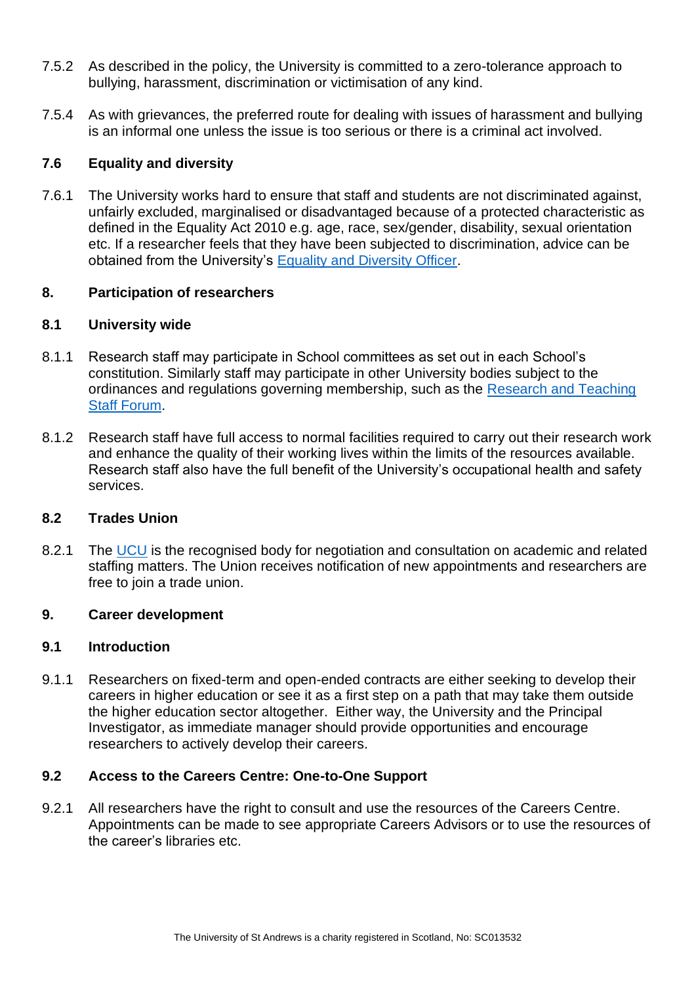- 7.5.2 As described in the policy, the University is committed to a zero-tolerance approach to bullying, harassment, discrimination or victimisation of any kind.
- 7.5.4 As with grievances, the preferred route for dealing with issues of harassment and bullying is an informal one unless the issue is too serious or there is a criminal act involved.

## **7.6 Equality and diversity**

7.6.1 The University works hard to ensure that staff and students are not discriminated against, unfairly excluded, marginalised or disadvantaged because of a protected characteristic as defined in the Equality Act 2010 e.g. age, race, sex/gender, disability, sexual orientation etc. If a researcher feels that they have been subjected to discrimination, advice can be obtained from the University's [Equality and Diversity Officer.](mailto:sb104@st-andrews.ac.uk)

## <span id="page-10-0"></span>**8. Participation of researchers**

## **8.1 University wide**

- 8.1.1 Research staff may participate in School committees as set out in each School's constitution. Similarly staff may participate in other University bodies subject to the ordinances and regulations governing membership, such as the [Research and Teaching](https://www.st-andrews.ac.uk/staff/research/policies/researchstaffforum/)  [Staff Forum.](https://www.st-andrews.ac.uk/staff/research/policies/researchstaffforum/)
- 8.1.2 Research staff have full access to normal facilities required to carry out their research work and enhance the quality of their working lives within the limits of the resources available. Research staff also have the full benefit of the University's occupational health and safety services.

## **8.2 Trades Union**

8.2.1 The [UCU](https://www.st-andrews.ac.uk/staff/policy/edi/tradeunionrepresentatives/) is the recognised body for negotiation and consultation on academic and related staffing matters. The Union receives notification of new appointments and researchers are free to join a trade union.

## <span id="page-10-1"></span>**9. Career development**

## **9.1 Introduction**

9.1.1 Researchers on fixed-term and open-ended contracts are either seeking to develop their careers in higher education or see it as a first step on a path that may take them outside the higher education sector altogether. Either way, the University and the Principal Investigator, as immediate manager should provide opportunities and encourage researchers to actively develop their careers.

## **9.2 Access to the Careers Centre: One-to-One Support**

9.2.1 All researchers have the right to consult and use the resources of the Careers Centre. Appointments can be made to see appropriate Careers Advisors or to use the resources of the career's libraries etc.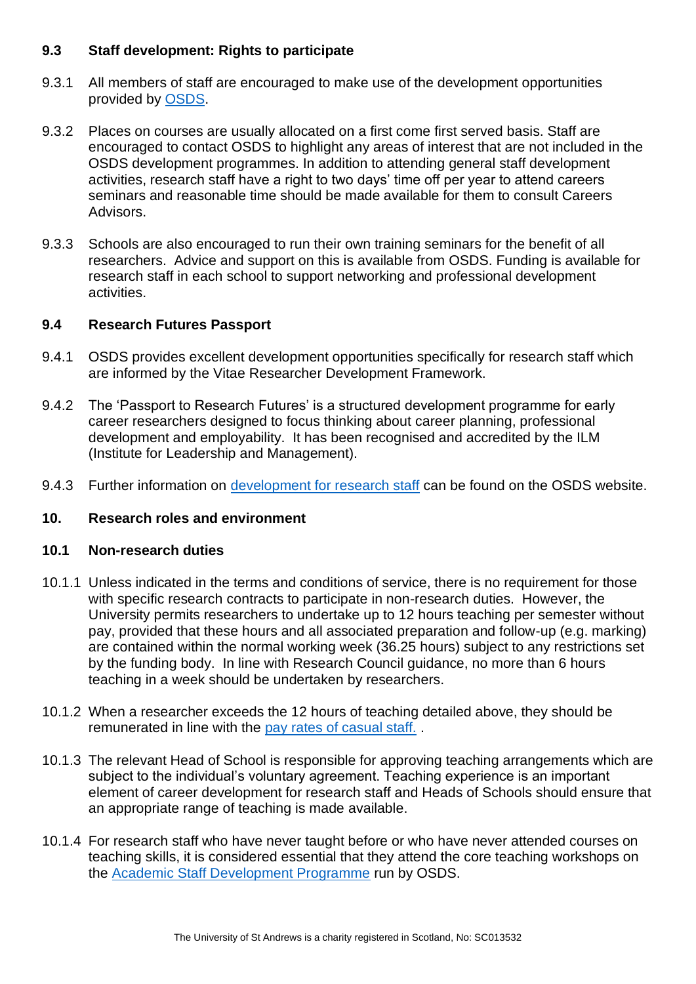## **9.3 Staff development: Rights to participate**

- 9.3.1 All members of staff are encouraged to make use of the development opportunities provided by [OSDS.](https://www.st-andrews.ac.uk/osds/)
- 9.3.2 Places on courses are usually allocated on a first come first served basis. Staff are encouraged to contact OSDS to highlight any areas of interest that are not included in the OSDS development programmes. In addition to attending general staff development activities, research staff have a right to two days' time off per year to attend careers seminars and reasonable time should be made available for them to consult Careers Advisors.
- 9.3.3 Schools are also encouraged to run their own training seminars for the benefit of all researchers. Advice and support on this is available from OSDS. Funding is available for research staff in each school to support networking and professional development activities.

## **9.4 Research Futures Passport**

- 9.4.1 OSDS provides excellent development opportunities specifically for research staff which are informed by the Vitae Researcher Development Framework.
- 9.4.2 The 'Passport to Research Futures' is a structured development programme for early career researchers designed to focus thinking about career planning, professional development and employability. It has been recognised and accredited by the ILM (Institute for Leadership and Management).
- 9.4.3 Further information on [development for research staff](https://www.st-andrews.ac.uk/osds/my-development/research-staff/) can be found on the OSDS website.

# <span id="page-11-0"></span>**10. Research roles and environment**

## **10.1 Non-research duties**

- 10.1.1 Unless indicated in the terms and conditions of service, there is no requirement for those with specific research contracts to participate in non-research duties. However, the University permits researchers to undertake up to 12 hours teaching per semester without pay, provided that these hours and all associated preparation and follow-up (e.g. marking) are contained within the normal working week (36.25 hours) subject to any restrictions set by the funding body. In line with Research Council guidance, no more than 6 hours teaching in a week should be undertaken by researchers.
- 10.1.2 When a researcher exceeds the 12 hours of teaching detailed above, they should be remunerated in line with the [pay rates of casual staff.](https://www.st-andrews.ac.uk/staff/policy/hr/hourlypaidcasualteachingstaff/) .
- 10.1.3 The relevant Head of School is responsible for approving teaching arrangements which are subject to the individual's voluntary agreement. Teaching experience is an important element of career development for research staff and Heads of Schools should ensure that an appropriate range of teaching is made available.
- 10.1.4 For research staff who have never taught before or who have never attended courses on teaching skills, it is considered essential that they attend the core teaching workshops on the [Academic Staff Development Programme](https://www.st-andrews.ac.uk/osds/my-development/academic-teaching-staff/) run by OSDS.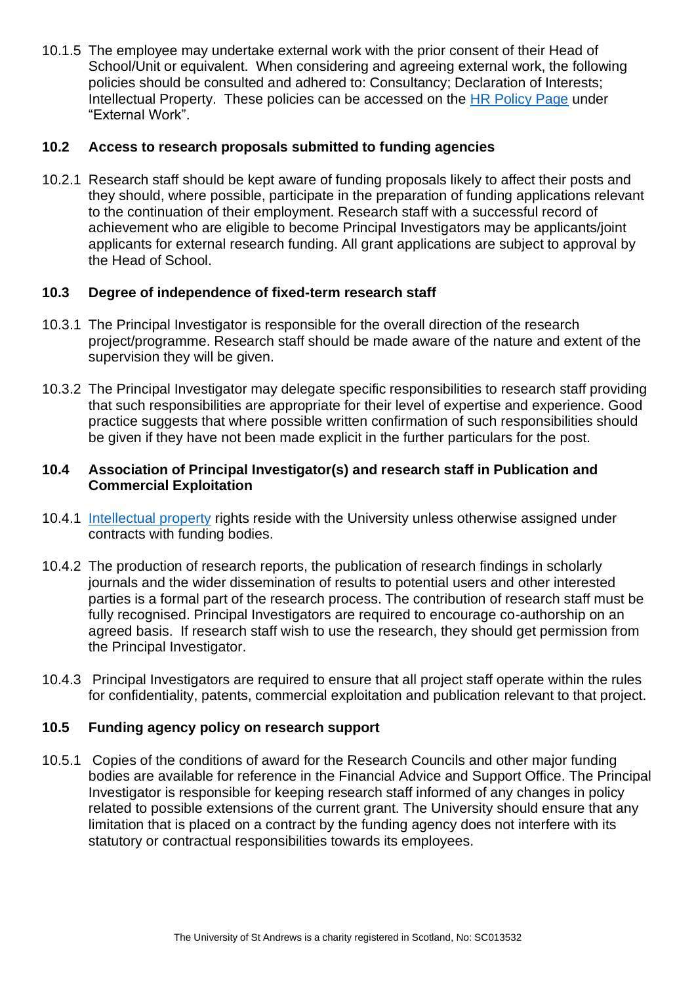10.1.5 The employee may undertake external work with the prior consent of their Head of School/Unit or equivalent. When considering and agreeing external work, the following policies should be consulted and adhered to: Consultancy; Declaration of Interests; Intellectual Property. These policies can be accessed on the [HR Policy Page](https://www.st-andrews.ac.uk/staff/policy/hr/#E) under "External Work".

## **10.2 Access to research proposals submitted to funding agencies**

10.2.1 Research staff should be kept aware of funding proposals likely to affect their posts and they should, where possible, participate in the preparation of funding applications relevant to the continuation of their employment. Research staff with a successful record of achievement who are eligible to become Principal Investigators may be applicants/joint applicants for external research funding. All grant applications are subject to approval by the Head of School.

## **10.3 Degree of independence of fixed-term research staff**

- 10.3.1 The Principal Investigator is responsible for the overall direction of the research project/programme. Research staff should be made aware of the nature and extent of the supervision they will be given.
- 10.3.2 The Principal Investigator may delegate specific responsibilities to research staff providing that such responsibilities are appropriate for their level of expertise and experience. Good practice suggests that where possible written confirmation of such responsibilities should be given if they have not been made explicit in the further particulars for the post.

## **10.4 Association of Principal Investigator(s) and research staff in Publication and Commercial Exploitation**

- 10.4.1 [Intellectual property](https://www.st-andrews.ac.uk/policy/research-external-work/intellectual-property-policy.pdf) rights reside with the University unless otherwise assigned under contracts with funding bodies.
- 10.4.2 The production of research reports, the publication of research findings in scholarly journals and the wider dissemination of results to potential users and other interested parties is a formal part of the research process. The contribution of research staff must be fully recognised. Principal Investigators are required to encourage co-authorship on an agreed basis. If research staff wish to use the research, they should get permission from the Principal Investigator.
- 10.4.3 Principal Investigators are required to ensure that all project staff operate within the rules for confidentiality, patents, commercial exploitation and publication relevant to that project.

## **10.5 Funding agency policy on research support**

10.5.1 Copies of the conditions of award for the Research Councils and other major funding bodies are available for reference in the Financial Advice and Support Office. The Principal Investigator is responsible for keeping research staff informed of any changes in policy related to possible extensions of the current grant. The University should ensure that any limitation that is placed on a contract by the funding agency does not interfere with its statutory or contractual responsibilities towards its employees.